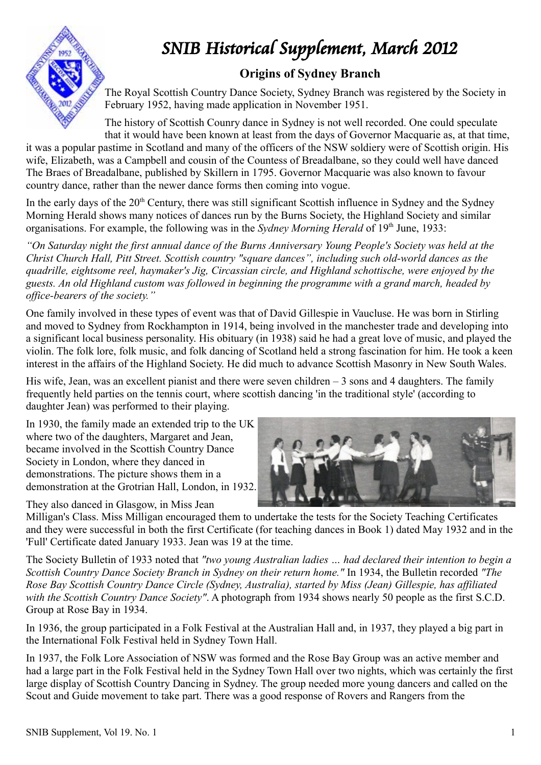

## SNIB Historical Supplement, March 2012

## **Origins of Sydney Branch**

The Royal Scottish Country Dance Society, Sydney Branch was registered by the Society in February 1952, having made application in November 1951.

The history of Scottish Counry dance in Sydney is not well recorded. One could speculate that it would have been known at least from the days of Governor Macquarie as, at that time,

it was a popular pastime in Scotland and many of the officers of the NSW soldiery were of Scottish origin. His wife, Elizabeth, was a Campbell and cousin of the Countess of Breadalbane, so they could well have danced The Braes of Breadalbane, published by Skillern in 1795. Governor Macquarie was also known to favour country dance, rather than the newer dance forms then coming into vogue.

In the early days of the  $20<sup>th</sup>$  Century, there was still significant Scottish influence in Sydney and the Sydney Morning Herald shows many notices of dances run by the Burns Society, the Highland Society and similar organisations. For example, the following was in the *Sydney Morning Herald* of 19<sup>th</sup> June, 1933:

*"On Saturday night the first annual dance of the Burns Anniversary Young People's Society was held at the Christ Church Hall, Pitt Street. Scottish country "square dances", including such old-world dances as the quadrille, eightsome reel, haymaker's Jig, Circassian circle, and Highland schottische, were enjoyed by the guests. An old Highland custom was followed in beginning the programme with a grand march, headed by office-bearers of the society."*

One family involved in these types of event was that of David Gillespie in Vaucluse. He was born in Stirling and moved to Sydney from Rockhampton in 1914, being involved in the manchester trade and developing into a significant local business personality. His obituary (in 1938) said he had a great love of music, and played the violin. The folk lore, folk music, and folk dancing of Scotland held a strong fascination for him. He took a keen interest in the affairs of the Highland Society. He did much to advance Scottish Masonry in New South Wales.

His wife, Jean, was an excellent pianist and there were seven children  $-3$  sons and 4 daughters. The family frequently held parties on the tennis court, where scottish dancing 'in the traditional style' (according to daughter Jean) was performed to their playing.

In 1930, the family made an extended trip to the UK where two of the daughters, Margaret and Jean, became involved in the Scottish Country Dance Society in London, where they danced in demonstrations. The picture shows them in a demonstration at the Grotrian Hall, London, in 1932.

They also danced in Glasgow, in Miss Jean



Milligan's Class. Miss Milligan encouraged them to undertake the tests for the Society Teaching Certificates and they were successful in both the first Certificate (for teaching dances in Book 1) dated May 1932 and in the 'Full' Certificate dated January 1933. Jean was 19 at the time.

The Society Bulletin of 1933 noted that *"two young Australian ladies … had declared their intention to begin a Scottish Country Dance Society Branch in Sydney on their return home."* In 1934, the Bulletin recorded *"The Rose Bay Scottish Country Dance Circle (Sydney, Australia), started by Miss (Jean) Gillespie, has affiliated with the Scottish Country Dance Society"*. A photograph from 1934 shows nearly 50 people as the first S.C.D. Group at Rose Bay in 1934.

In 1936, the group participated in a Folk Festival at the Australian Hall and, in 1937, they played a big part in the International Folk Festival held in Sydney Town Hall.

In 1937, the Folk Lore Association of NSW was formed and the Rose Bay Group was an active member and had a large part in the Folk Festival held in the Sydney Town Hall over two nights, which was certainly the first large display of Scottish Country Dancing in Sydney. The group needed more young dancers and called on the Scout and Guide movement to take part. There was a good response of Rovers and Rangers from the